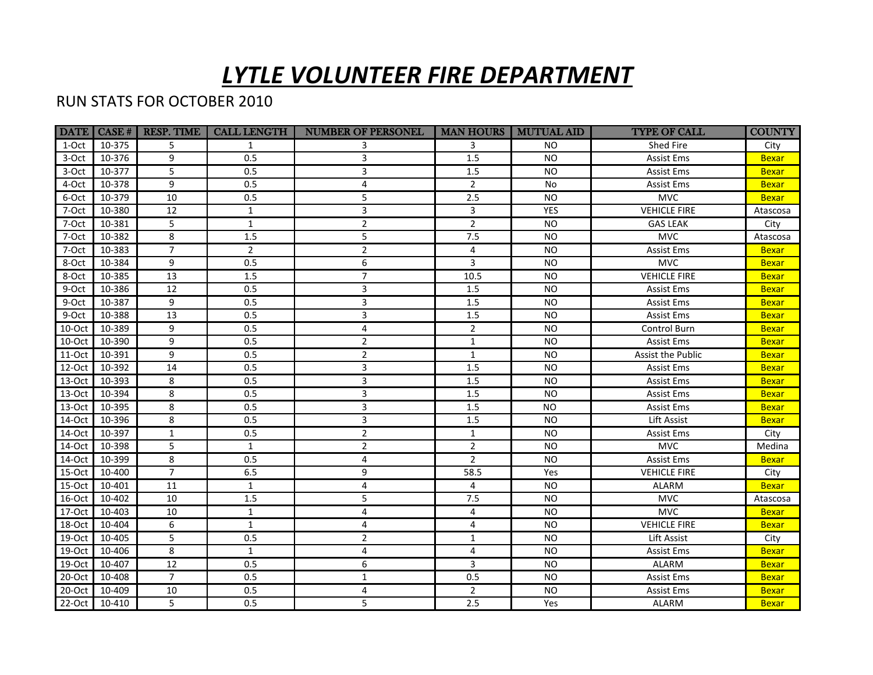## *LYTLE VOLUNTEER FIRE DEPARTMENT*

## RUN STATS FOR OCTOBER 2010

|           | DATE CASE # | <b>RESP. TIME</b> | <b>CALL LENGTH</b> | NUMBER OF PERSONEL   MAN HOURS   MUTUAL AID |                |            | <b>TYPE OF CALL</b> | <b>COUNTY</b> |
|-----------|-------------|-------------------|--------------------|---------------------------------------------|----------------|------------|---------------------|---------------|
| 1-Oct     | 10-375      | 5                 | $\mathbf{1}$       | 3                                           | 3              | <b>NO</b>  | Shed Fire           | City          |
| 3-Oct     | 10-376      | 9                 | 0.5                | 3                                           | 1.5            | <b>NO</b>  | Assist Ems          | <b>Bexar</b>  |
| 3-Oct     | 10-377      | 5                 | 0.5                | 3                                           | 1.5            | <b>NO</b>  | Assist Ems          | <b>Bexar</b>  |
| 4-Oct     | 10-378      | 9                 | 0.5                | 4                                           | $\overline{2}$ | No         | Assist Ems          | <b>Bexar</b>  |
| 6-Oct     | 10-379      | 10                | 0.5                | 5                                           | 2.5            | <b>NO</b>  | <b>MVC</b>          | <b>Bexar</b>  |
| 7-Oct     | 10-380      | 12                | $\mathbf 1$        | 3                                           | $\overline{3}$ | <b>YES</b> | <b>VEHICLE FIRE</b> | Atascosa      |
| 7-Oct     | 10-381      | 5                 | $\mathbf{1}$       | $\overline{2}$                              | $\overline{2}$ | <b>NO</b>  | <b>GAS LEAK</b>     | City          |
| 7-Oct     | 10-382      | 8                 | $1.5\,$            | 5                                           | 7.5            | <b>NO</b>  | <b>MVC</b>          | Atascosa      |
| 7-Oct     | 10-383      | $\overline{7}$    | $\overline{2}$     | $\overline{2}$                              | 4              | <b>NO</b>  | <b>Assist Ems</b>   | <b>Bexar</b>  |
| 8-Oct     | 10-384      | 9                 | 0.5                | 6                                           | 3              | <b>NO</b>  | <b>MVC</b>          | <b>Bexar</b>  |
| 8-Oct     | 10-385      | 13                | $1.5\,$            | $\overline{7}$                              | 10.5           | <b>NO</b>  | <b>VEHICLE FIRE</b> | <b>Bexar</b>  |
| 9-Oct     | 10-386      | 12                | 0.5                | 3                                           | 1.5            | <b>NO</b>  | Assist Ems          | <b>Bexar</b>  |
| 9-Oct     | 10-387      | 9                 | 0.5                | 3                                           | 1.5            | <b>NO</b>  | Assist Ems          | <b>Bexar</b>  |
| 9-Oct     | 10-388      | 13                | 0.5                | 3                                           | 1.5            | <b>NO</b>  | Assist Ems          | <b>Bexar</b>  |
| 10-Oct    | 10-389      | 9                 | 0.5                | $\overline{4}$                              | $\overline{2}$ | <b>NO</b>  | Control Burn        | <b>Bexar</b>  |
| 10-Oct    | 10-390      | 9                 | 0.5                | $\overline{2}$                              | $\mathbf{1}$   | <b>NO</b>  | Assist Ems          | <b>Bexar</b>  |
| $11-Oct$  | 10-391      | 9                 | 0.5                | $\overline{2}$                              | $\mathbf{1}$   | <b>NO</b>  | Assist the Public   | <b>Bexar</b>  |
| 12-Oct    | 10-392      | 14                | 0.5                | $\overline{3}$                              | 1.5            | <b>NO</b>  | Assist Ems          | <b>Bexar</b>  |
| 13-Oct    | 10-393      | 8                 | 0.5                | 3                                           | 1.5            | <b>NO</b>  | Assist Ems          | <b>Bexar</b>  |
| $13-Oct$  | 10-394      | 8                 | 0.5                | 3                                           | 1.5            | <b>NO</b>  | <b>Assist Ems</b>   | <b>Bexar</b>  |
| 13-Oct    | 10-395      | 8                 | 0.5                | 3                                           | 1.5            | <b>NO</b>  | Assist Ems          | <b>Bexar</b>  |
| 14-Oct    | 10-396      | 8                 | 0.5                | 3                                           | 1.5            | <b>NO</b>  | Lift Assist         | <b>Bexar</b>  |
| 14-Oct    | 10-397      | $\mathbf{1}$      | 0.5                | $\overline{2}$                              | $\mathbf{1}$   | <b>NO</b>  | Assist Ems          | City          |
| 14-Oct    | 10-398      | 5                 | $\mathbf{1}$       | $\overline{2}$                              | $\overline{2}$ | <b>NO</b>  | <b>MVC</b>          | Medina        |
| 14-Oct    | 10-399      | 8                 | 0.5                | 4                                           | $\overline{2}$ | <b>NO</b>  | Assist Ems          | <b>Bexar</b>  |
| 15-Oct    | 10-400      | $\overline{7}$    | 6.5                | 9                                           | 58.5           | Yes        | <b>VEHICLE FIRE</b> | City          |
| 15-Oct    | 10-401      | 11                | $\mathbf{1}$       | 4                                           | 4              | <b>NO</b>  | <b>ALARM</b>        | <b>Bexar</b>  |
| 16-Oct    | 10-402      | 10                | 1.5                | 5                                           | 7.5            | <b>NO</b>  | <b>MVC</b>          | Atascosa      |
| 17-Oct    | 10-403      | 10                | $\mathbf{1}$       | 4                                           | 4              | <b>NO</b>  | <b>MVC</b>          | <b>Bexar</b>  |
| 18-Oct    | 10-404      | 6                 | $\mathbf{1}$       | 4                                           | 4              | <b>NO</b>  | <b>VEHICLE FIRE</b> | <b>Bexar</b>  |
| 19-Oct    | 10-405      | 5                 | 0.5                | $\overline{2}$                              | $\mathbf{1}$   | <b>NO</b>  | Lift Assist         | City          |
| 19-Oct    | 10-406      | 8                 | $\mathbf{1}$       | 4                                           | 4              | <b>NO</b>  | <b>Assist Ems</b>   | <b>Bexar</b>  |
| 19-Oct    | 10-407      | 12                | 0.5                | 6                                           | 3              | <b>NO</b>  | <b>ALARM</b>        | <b>Bexar</b>  |
| 20-Oct    | 10-408      | $\overline{7}$    | 0.5                | $\mathbf{1}$                                | 0.5            | <b>NO</b>  | Assist Ems          | <b>Bexar</b>  |
| 20-Oct    | 10-409      | 10                | 0.5                | 4                                           | $\overline{2}$ | <b>NO</b>  | <b>Assist Ems</b>   | <b>Bexar</b>  |
| $22$ -Oct | 10-410      | 5                 | 0.5                | 5                                           | 2.5            | Yes        | ALARM               | <b>Bexar</b>  |